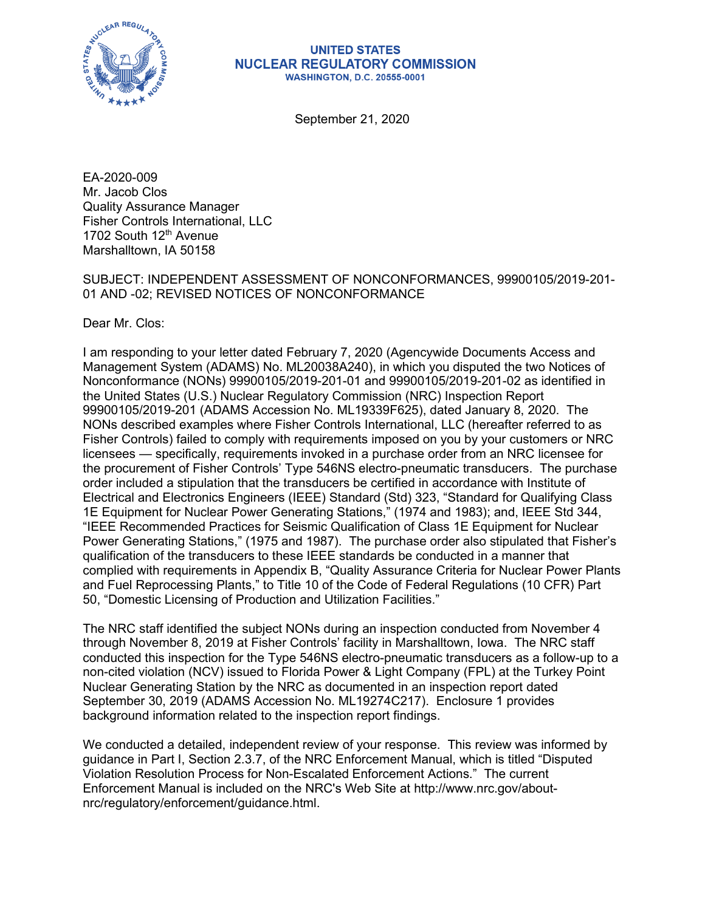

#### **UNITED STATES NUCLEAR REGULATORY COMMISSION WASHINGTON, D.C. 20555-0001**

September 21, 2020

EA-2020-009 Mr. Jacob Clos Quality Assurance Manager Fisher Controls International, LLC 1702 South 12<sup>th</sup> Avenue Marshalltown, IA 50158

SUBJECT: INDEPENDENT ASSESSMENT OF NONCONFORMANCES, 99900105/2019-201- 01 AND -02; REVISED NOTICES OF NONCONFORMANCE

Dear Mr. Clos:

I am responding to your letter dated February 7, 2020 (Agencywide Documents Access and Management System (ADAMS) No. ML20038A240), in which you disputed the two Notices of Nonconformance (NONs) 99900105/2019-201-01 and 99900105/2019-201-02 as identified in the United States (U.S.) Nuclear Regulatory Commission (NRC) Inspection Report 99900105/2019-201 (ADAMS Accession No. ML19339F625), dated January 8, 2020. The NONs described examples where Fisher Controls International, LLC (hereafter referred to as Fisher Controls) failed to comply with requirements imposed on you by your customers or NRC licensees — specifically, requirements invoked in a purchase order from an NRC licensee for the procurement of Fisher Controls' Type 546NS electro-pneumatic transducers. The purchase order included a stipulation that the transducers be certified in accordance with Institute of Electrical and Electronics Engineers (IEEE) Standard (Std) 323, "Standard for Qualifying Class 1E Equipment for Nuclear Power Generating Stations," (1974 and 1983); and, IEEE Std 344, "IEEE Recommended Practices for Seismic Qualification of Class 1E Equipment for Nuclear Power Generating Stations," (1975 and 1987). The purchase order also stipulated that Fisher's qualification of the transducers to these IEEE standards be conducted in a manner that complied with requirements in Appendix B, "Quality Assurance Criteria for Nuclear Power Plants and Fuel Reprocessing Plants," to Title 10 of the Code of Federal Regulations (10 CFR) Part 50, "Domestic Licensing of Production and Utilization Facilities."

The NRC staff identified the subject NONs during an inspection conducted from November 4 through November 8, 2019 at Fisher Controls' facility in Marshalltown, Iowa. The NRC staff conducted this inspection for the Type 546NS electro-pneumatic transducers as a follow-up to a non-cited violation (NCV) issued to Florida Power & Light Company (FPL) at the Turkey Point Nuclear Generating Station by the NRC as documented in an inspection report dated September 30, 2019 (ADAMS Accession No. ML19274C217). Enclosure 1 provides background information related to the inspection report findings.

We conducted a detailed, independent review of your response. This review was informed by guidance in Part I, Section 2.3.7, of the NRC Enforcement Manual, which is titled "Disputed Violation Resolution Process for Non-Escalated Enforcement Actions." The current Enforcement Manual is included on the NRC's Web Site at http://www.nrc.gov/aboutnrc/regulatory/enforcement/guidance.html.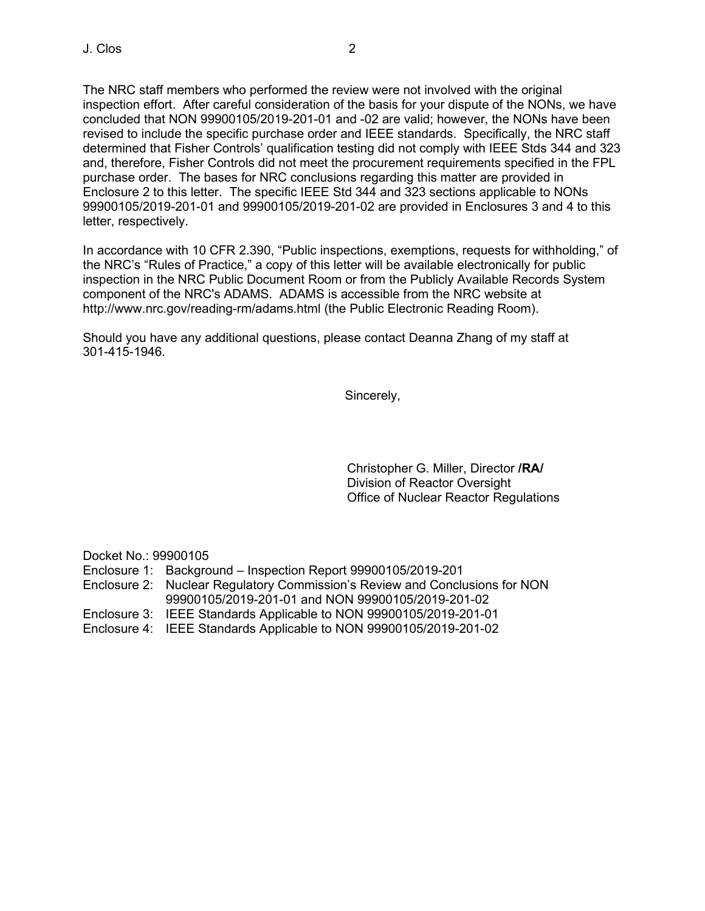The NRC staff members who performed the review were not involved with the original inspection effort. After careful consideration of the basis for your dispute of the NONs, we have concluded that NON 99900105/2019-201-01 and -02 are valid; however, the NONs have been revised to include the specific purchase order and IEEE standards. Specifically, the NRC staff determined that Fisher Controls' qualification testing did not comply with IEEE Stds 344 and 323 and, therefore, Fisher Controls did not meet the procurement requirements specified in the FPL purchase order. The bases for NRC conclusions regarding this matter are provided in Enclosure 2 to this letter. The specific IEEE Std 344 and 323 sections applicable to NONs 99900105/2019-201-01 and 99900105/2019-201-02 are provided in Enclosures 3 and 4 to this letter, respectively.

In accordance with 10 CFR 2.390, "Public inspections, exemptions, requests for withholding," of the NRC's "Rules of Practice," a copy of this letter will be available electronically for public inspection in the NRC Public Document Room or from the Publicly Available Records System component of the NRC's ADAMS. ADAMS is accessible from the NRC website at http://www.nrc.gov/reading-rm/adams.html (the Public Electronic Reading Room).

Should you have any additional questions, please contact Deanna Zhang of my staff at 301-415-1946.

Sincerely,

Christopher G. Miller, Director **/RA/** Division of Reactor Oversight Office of Nuclear Reactor Regulations

Docket No.: 99900105

- Enclosure 1: Background Inspection Report 99900105/2019-201
- Enclosure 2: Nuclear Regulatory Commission's Review and Conclusions for NON 99900105/2019-201-01 and NON 99900105/2019-201-02
- Enclosure 3: IEEE Standards Applicable to NON 99900105/2019-201-01
- Enclosure 4: IEEE Standards Applicable to NON 99900105/2019-201-02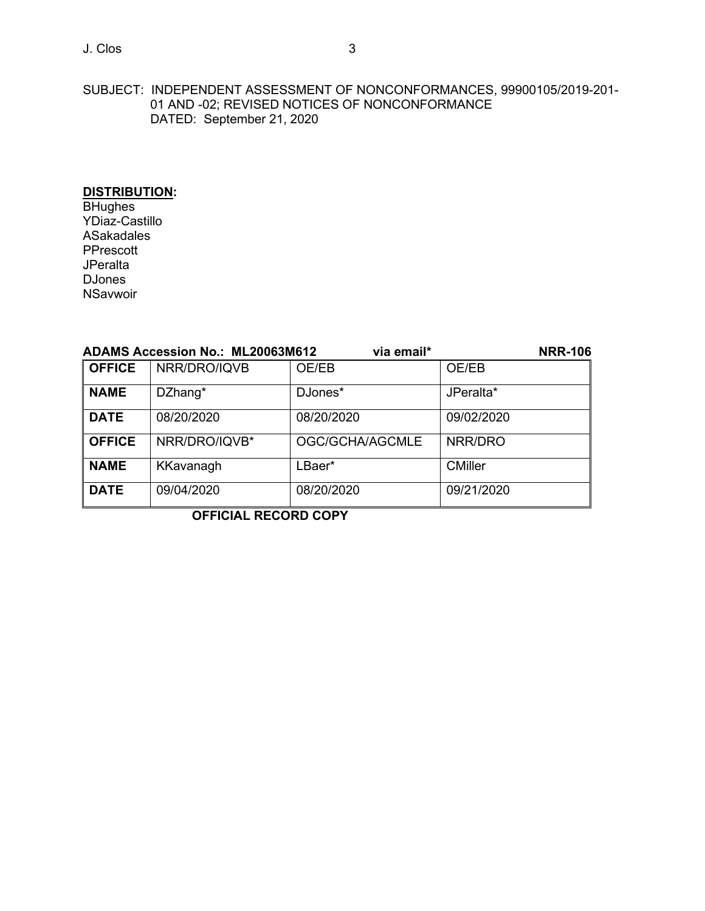# J. Clos 3

#### SUBJECT: INDEPENDENT ASSESSMENT OF NONCONFORMANCES, 99900105/2019-201- 01 AND -02; REVISED NOTICES OF NONCONFORMANCE DATED: September 21, 2020

# **DISTRIBUTION:**

**BHughes** YDiaz-Castillo ASakadales PPrescott **JPeralta** DJones **NSavwoir** 

| ADAMS Accession No.: ML20063M612<br>via email* |               |                 |                |
|------------------------------------------------|---------------|-----------------|----------------|
| <b>OFFICE</b>                                  | NRR/DRO/IQVB  | OE/EB           | OE/EB          |
| <b>NAME</b>                                    | DZhang*       | DJones*         | JPeralta*      |
| <b>DATE</b>                                    | 08/20/2020    | 08/20/2020      | 09/02/2020     |
| <b>OFFICE</b>                                  | NRR/DRO/IQVB* | OGC/GCHA/AGCMLE | NRR/DRO        |
| <b>NAME</b>                                    | KKavanagh     | LBaer*          | <b>CMiller</b> |
| <b>DATE</b>                                    | 09/04/2020    | 08/20/2020      | 09/21/2020     |

# **OFFICIAL RECORD COPY**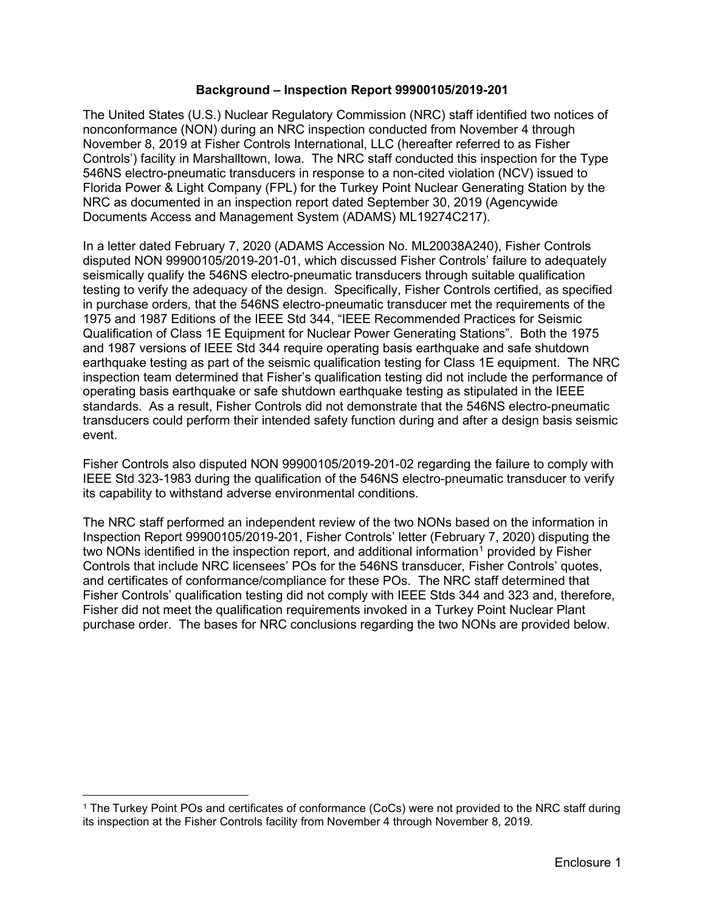#### **Background – Inspection Report 99900105/2019-201**

The United States (U.S.) Nuclear Regulatory Commission (NRC) staff identified two notices of nonconformance (NON) during an NRC inspection conducted from November 4 through November 8, 2019 at Fisher Controls International, LLC (hereafter referred to as Fisher Controls') facility in Marshalltown, Iowa. The NRC staff conducted this inspection for the Type 546NS electro-pneumatic transducers in response to a non-cited violation (NCV) issued to Florida Power & Light Company (FPL) for the Turkey Point Nuclear Generating Station by the NRC as documented in an inspection report dated September 30, 2019 (Agencywide Documents Access and Management System (ADAMS) ML19274C217).

In a letter dated February 7, 2020 (ADAMS Accession No. ML20038A240), Fisher Controls disputed NON 99900105/2019-201-01, which discussed Fisher Controls' failure to adequately seismically qualify the 546NS electro-pneumatic transducers through suitable qualification testing to verify the adequacy of the design. Specifically, Fisher Controls certified, as specified in purchase orders*,* that the 546NS electro-pneumatic transducer met the requirements of the 1975 and 1987 Editions of the IEEE Std 344, "IEEE Recommended Practices for Seismic Qualification of Class 1E Equipment for Nuclear Power Generating Stations". Both the 1975 and 1987 versions of IEEE Std 344 require operating basis earthquake and safe shutdown earthquake testing as part of the seismic qualification testing for Class 1E equipment. The NRC inspection team determined that Fisher's qualification testing did not include the performance of operating basis earthquake or safe shutdown earthquake testing as stipulated in the IEEE standards. As a result, Fisher Controls did not demonstrate that the 546NS electro-pneumatic transducers could perform their intended safety function during and after a design basis seismic event.

Fisher Controls also disputed NON 99900105/2019-201-02 regarding the failure to comply with IEEE Std 323-1983 during the qualification of the 546NS electro-pneumatic transducer to verify its capability to withstand adverse environmental conditions.

The NRC staff performed an independent review of the two NONs based on the information in Inspection Report 99900105/2019-201, Fisher Controls' letter (February 7, 2020) disputing the two NONs identified in the inspection report, and additional information<sup>[1](#page-3-0)</sup> provided by Fisher Controls that include NRC licensees' POs for the 546NS transducer, Fisher Controls' quotes, and certificates of conformance/compliance for these POs. The NRC staff determined that Fisher Controls' qualification testing did not comply with IEEE Stds 344 and 323 and, therefore, Fisher did not meet the qualification requirements invoked in a Turkey Point Nuclear Plant purchase order. The bases for NRC conclusions regarding the two NONs are provided below.

<span id="page-3-0"></span><sup>1</sup> The Turkey Point POs and certificates of conformance (CoCs) were not provided to the NRC staff during its inspection at the Fisher Controls facility from November 4 through November 8, 2019.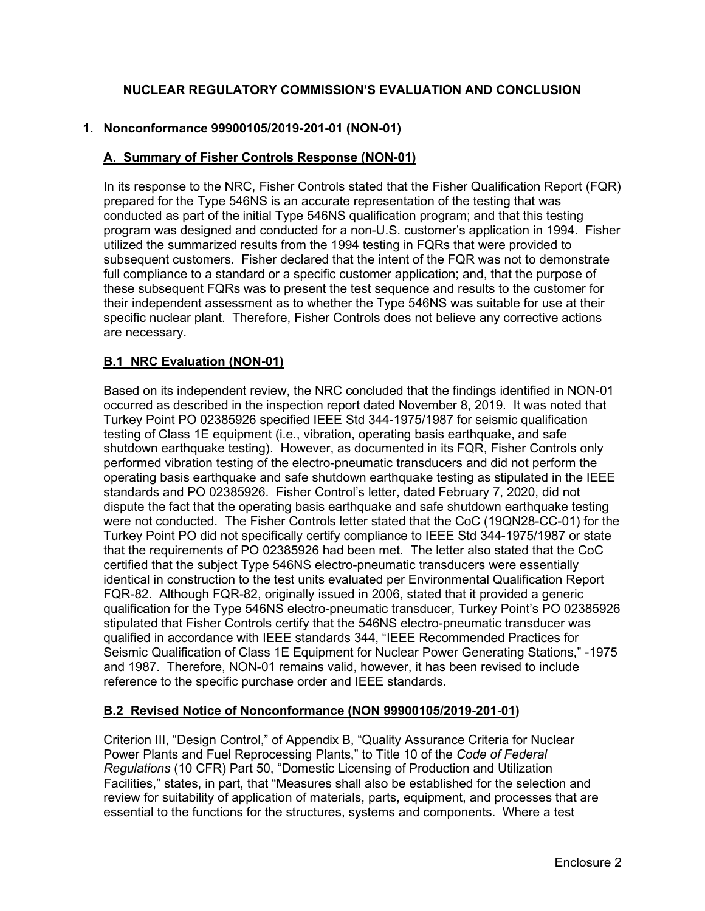# **NUCLEAR REGULATORY COMMISSION'S EVALUATION AND CONCLUSION**

### **1. Nonconformance 99900105/2019-201-01 (NON-01)**

#### **A. Summary of Fisher Controls Response (NON-01)**

In its response to the NRC, Fisher Controls stated that the Fisher Qualification Report (FQR) prepared for the Type 546NS is an accurate representation of the testing that was conducted as part of the initial Type 546NS qualification program; and that this testing program was designed and conducted for a non-U.S. customer's application in 1994. Fisher utilized the summarized results from the 1994 testing in FQRs that were provided to subsequent customers. Fisher declared that the intent of the FQR was not to demonstrate full compliance to a standard or a specific customer application; and, that the purpose of these subsequent FQRs was to present the test sequence and results to the customer for their independent assessment as to whether the Type 546NS was suitable for use at their specific nuclear plant. Therefore, Fisher Controls does not believe any corrective actions are necessary.

#### **B.1 NRC Evaluation (NON-01)**

Based on its independent review, the NRC concluded that the findings identified in NON-01 occurred as described in the inspection report dated November 8, 2019. It was noted that Turkey Point PO 02385926 specified IEEE Std 344-1975/1987 for seismic qualification testing of Class 1E equipment (i.e., vibration, operating basis earthquake, and safe shutdown earthquake testing). However, as documented in its FQR, Fisher Controls only performed vibration testing of the electro-pneumatic transducers and did not perform the operating basis earthquake and safe shutdown earthquake testing as stipulated in the IEEE standards and PO 02385926. Fisher Control's letter, dated February 7, 2020, did not dispute the fact that the operating basis earthquake and safe shutdown earthquake testing were not conducted. The Fisher Controls letter stated that the CoC (19QN28-CC-01) for the Turkey Point PO did not specifically certify compliance to IEEE Std 344-1975/1987 or state that the requirements of PO 02385926 had been met. The letter also stated that the CoC certified that the subject Type 546NS electro-pneumatic transducers were essentially identical in construction to the test units evaluated per Environmental Qualification Report FQR-82. Although FQR-82, originally issued in 2006, stated that it provided a generic qualification for the Type 546NS electro-pneumatic transducer, Turkey Point's PO 02385926 stipulated that Fisher Controls certify that the 546NS electro-pneumatic transducer was qualified in accordance with IEEE standards 344, "IEEE Recommended Practices for Seismic Qualification of Class 1E Equipment for Nuclear Power Generating Stations," -1975 and 1987. Therefore, NON-01 remains valid, however, it has been revised to include reference to the specific purchase order and IEEE standards.

#### **B.2 Revised Notice of Nonconformance (NON 99900105/2019-201-01)**

Criterion III, "Design Control," of Appendix B, "Quality Assurance Criteria for Nuclear Power Plants and Fuel Reprocessing Plants," to Title 10 of the *Code of Federal Regulations* (10 CFR) Part 50, "Domestic Licensing of Production and Utilization Facilities," states, in part, that "Measures shall also be established for the selection and review for suitability of application of materials, parts, equipment, and processes that are essential to the functions for the structures, systems and components. Where a test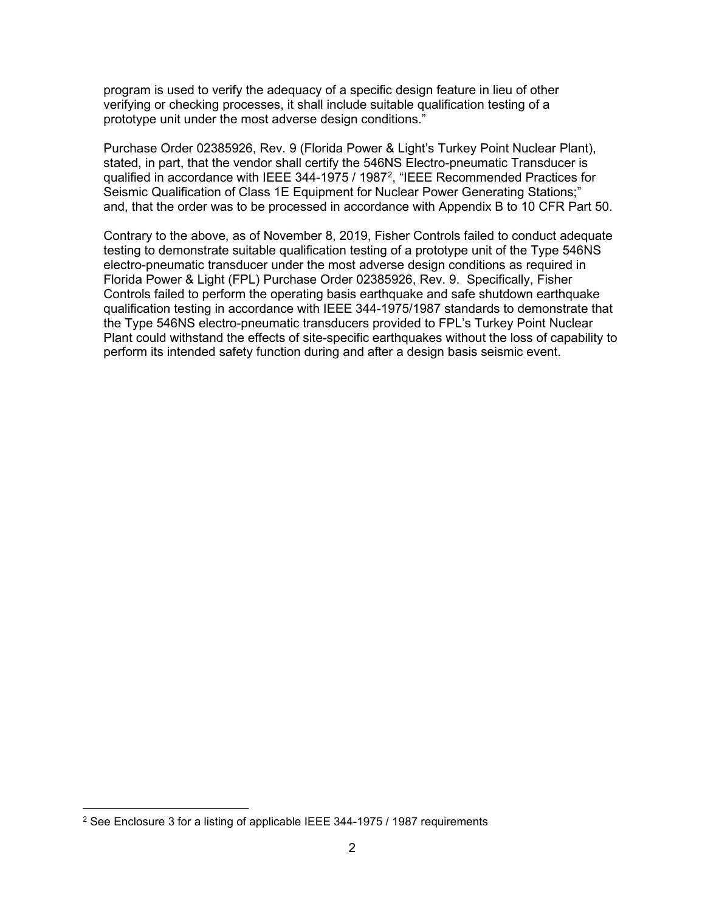program is used to verify the adequacy of a specific design feature in lieu of other verifying or checking processes, it shall include suitable qualification testing of a prototype unit under the most adverse design conditions."

Purchase Order 02385926, Rev. 9 (Florida Power & Light's Turkey Point Nuclear Plant), stated, in part, that the vendor shall certify the 546NS Electro-pneumatic Transducer is qualified in accordance with IEEE 344-1975 / 1987<sup>[2](#page-5-0)</sup>, "IEEE Recommended Practices for Seismic Qualification of Class 1E Equipment for Nuclear Power Generating Stations;" and, that the order was to be processed in accordance with Appendix B to 10 CFR Part 50.

Contrary to the above, as of November 8, 2019, Fisher Controls failed to conduct adequate testing to demonstrate suitable qualification testing of a prototype unit of the Type 546NS electro-pneumatic transducer under the most adverse design conditions as required in Florida Power & Light (FPL) Purchase Order 02385926, Rev. 9. Specifically, Fisher Controls failed to perform the operating basis earthquake and safe shutdown earthquake qualification testing in accordance with IEEE 344-1975/1987 standards to demonstrate that the Type 546NS electro-pneumatic transducers provided to FPL's Turkey Point Nuclear Plant could withstand the effects of site-specific earthquakes without the loss of capability to perform its intended safety function during and after a design basis seismic event.

<span id="page-5-0"></span><sup>2</sup> See Enclosure 3 for a listing of applicable IEEE 344-1975 / 1987 requirements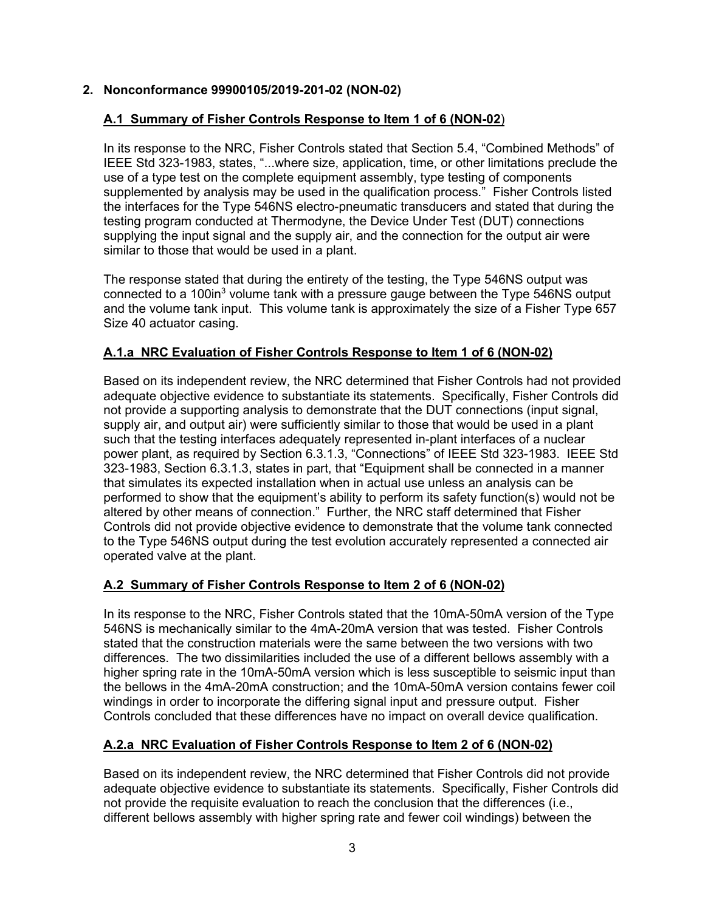### **2. Nonconformance 99900105/2019-201-02 (NON-02)**

#### **A.1 Summary of Fisher Controls Response to Item 1 of 6 (NON-02**)

In its response to the NRC, Fisher Controls stated that Section 5.4, "Combined Methods" of IEEE Std 323-1983, states, "...where size, application, time, or other limitations preclude the use of a type test on the complete equipment assembly, type testing of components supplemented by analysis may be used in the qualification process." Fisher Controls listed the interfaces for the Type 546NS electro-pneumatic transducers and stated that during the testing program conducted at Thermodyne, the Device Under Test (DUT) connections supplying the input signal and the supply air, and the connection for the output air were similar to those that would be used in a plant.

The response stated that during the entirety of the testing, the Type 546NS output was connected to a 100 $\text{in}^3$  volume tank with a pressure gauge between the Type 546NS output and the volume tank input. This volume tank is approximately the size of a Fisher Type 657 Size 40 actuator casing.

#### **A.1.a NRC Evaluation of Fisher Controls Response to Item 1 of 6 (NON-02)**

Based on its independent review, the NRC determined that Fisher Controls had not provided adequate objective evidence to substantiate its statements. Specifically, Fisher Controls did not provide a supporting analysis to demonstrate that the DUT connections (input signal, supply air, and output air) were sufficiently similar to those that would be used in a plant such that the testing interfaces adequately represented in-plant interfaces of a nuclear power plant, as required by Section 6.3.1.3, "Connections" of IEEE Std 323-1983. IEEE Std 323-1983, Section 6.3.1.3, states in part, that "Equipment shall be connected in a manner that simulates its expected installation when in actual use unless an analysis can be performed to show that the equipment's ability to perform its safety function(s) would not be altered by other means of connection." Further, the NRC staff determined that Fisher Controls did not provide objective evidence to demonstrate that the volume tank connected to the Type 546NS output during the test evolution accurately represented a connected air operated valve at the plant.

# **A.2 Summary of Fisher Controls Response to Item 2 of 6 (NON-02)**

In its response to the NRC, Fisher Controls stated that the 10mA-50mA version of the Type 546NS is mechanically similar to the 4mA-20mA version that was tested. Fisher Controls stated that the construction materials were the same between the two versions with two differences. The two dissimilarities included the use of a different bellows assembly with a higher spring rate in the 10mA-50mA version which is less susceptible to seismic input than the bellows in the 4mA-20mA construction; and the 10mA-50mA version contains fewer coil windings in order to incorporate the differing signal input and pressure output. Fisher Controls concluded that these differences have no impact on overall device qualification.

# **A.2.a NRC Evaluation of Fisher Controls Response to Item 2 of 6 (NON-02)**

Based on its independent review, the NRC determined that Fisher Controls did not provide adequate objective evidence to substantiate its statements. Specifically, Fisher Controls did not provide the requisite evaluation to reach the conclusion that the differences (i.e., different bellows assembly with higher spring rate and fewer coil windings) between the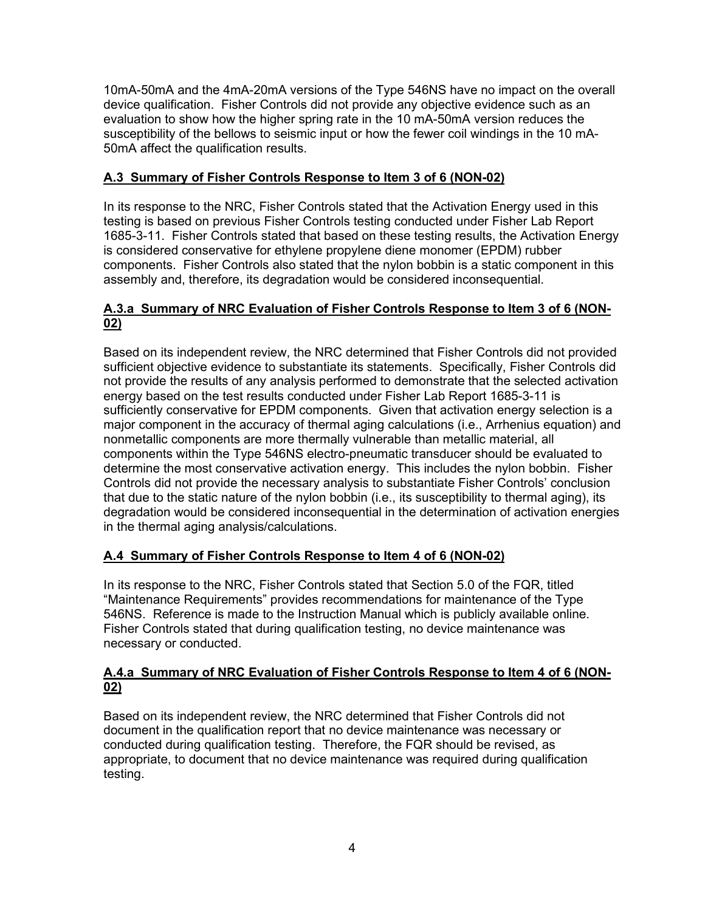10mA-50mA and the 4mA-20mA versions of the Type 546NS have no impact on the overall device qualification. Fisher Controls did not provide any objective evidence such as an evaluation to show how the higher spring rate in the 10 mA-50mA version reduces the susceptibility of the bellows to seismic input or how the fewer coil windings in the 10 mA-50mA affect the qualification results.

### **A.3 Summary of Fisher Controls Response to Item 3 of 6 (NON-02)**

In its response to the NRC, Fisher Controls stated that the Activation Energy used in this testing is based on previous Fisher Controls testing conducted under Fisher Lab Report 1685-3-11. Fisher Controls stated that based on these testing results, the Activation Energy is considered conservative for ethylene propylene diene monomer (EPDM) rubber components. Fisher Controls also stated that the nylon bobbin is a static component in this assembly and, therefore, its degradation would be considered inconsequential.

#### **A.3.a Summary of NRC Evaluation of Fisher Controls Response to Item 3 of 6 (NON-02)**

Based on its independent review, the NRC determined that Fisher Controls did not provided sufficient objective evidence to substantiate its statements. Specifically, Fisher Controls did not provide the results of any analysis performed to demonstrate that the selected activation energy based on the test results conducted under Fisher Lab Report 1685-3-11 is sufficiently conservative for EPDM components. Given that activation energy selection is a major component in the accuracy of thermal aging calculations (i.e., Arrhenius equation) and nonmetallic components are more thermally vulnerable than metallic material, all components within the Type 546NS electro-pneumatic transducer should be evaluated to determine the most conservative activation energy. This includes the nylon bobbin. Fisher Controls did not provide the necessary analysis to substantiate Fisher Controls' conclusion that due to the static nature of the nylon bobbin (i.e., its susceptibility to thermal aging), its degradation would be considered inconsequential in the determination of activation energies in the thermal aging analysis/calculations.

# **A.4 Summary of Fisher Controls Response to Item 4 of 6 (NON-02)**

In its response to the NRC, Fisher Controls stated that Section 5.0 of the FQR, titled "Maintenance Requirements" provides recommendations for maintenance of the Type 546NS. Reference is made to the Instruction Manual which is publicly available online. Fisher Controls stated that during qualification testing, no device maintenance was necessary or conducted.

#### **A.4.a Summary of NRC Evaluation of Fisher Controls Response to Item 4 of 6 (NON-02)**

Based on its independent review, the NRC determined that Fisher Controls did not document in the qualification report that no device maintenance was necessary or conducted during qualification testing. Therefore, the FQR should be revised, as appropriate, to document that no device maintenance was required during qualification testing.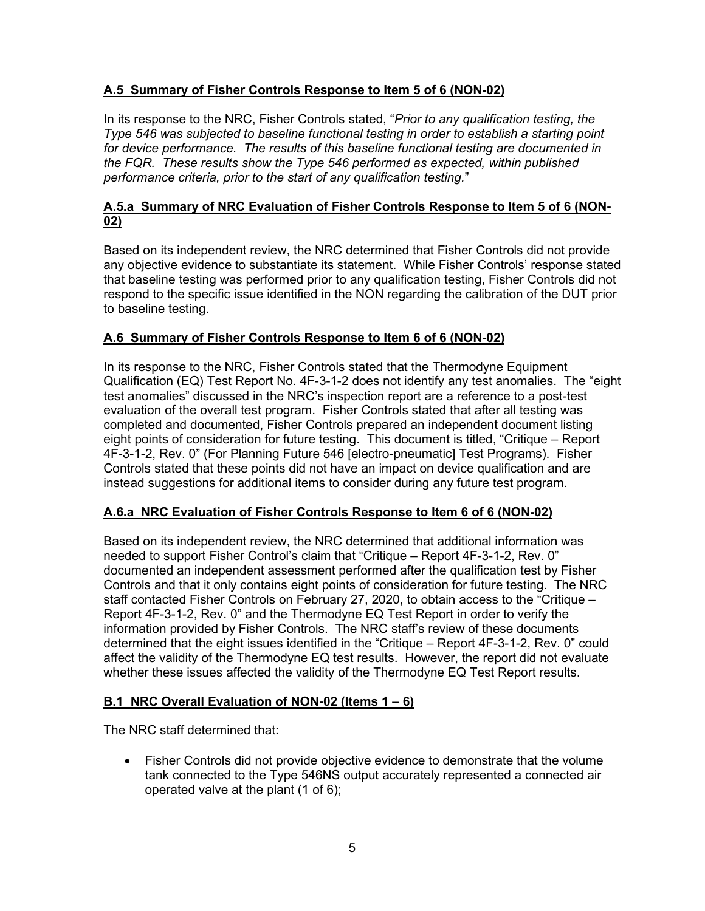# **A.5 Summary of Fisher Controls Response to Item 5 of 6 (NON-02)**

In its response to the NRC, Fisher Controls stated, "*Prior to any qualification testing, the Type 546 was subjected to baseline functional testing in order to establish a starting point for device performance. The results of this baseline functional testing are documented in the FQR. These results show the Type 546 performed as expected, within published performance criteria, prior to the start of any qualification testing.*"

## **A.5.a Summary of NRC Evaluation of Fisher Controls Response to Item 5 of 6 (NON-02)**

Based on its independent review, the NRC determined that Fisher Controls did not provide any objective evidence to substantiate its statement. While Fisher Controls' response stated that baseline testing was performed prior to any qualification testing, Fisher Controls did not respond to the specific issue identified in the NON regarding the calibration of the DUT prior to baseline testing.

# **A.6 Summary of Fisher Controls Response to Item 6 of 6 (NON-02)**

In its response to the NRC, Fisher Controls stated that the Thermodyne Equipment Qualification (EQ) Test Report No. 4F-3-1-2 does not identify any test anomalies. The "eight test anomalies" discussed in the NRC's inspection report are a reference to a post-test evaluation of the overall test program. Fisher Controls stated that after all testing was completed and documented, Fisher Controls prepared an independent document listing eight points of consideration for future testing. This document is titled, "Critique – Report 4F-3-1-2, Rev. 0" (For Planning Future 546 [electro-pneumatic] Test Programs). Fisher Controls stated that these points did not have an impact on device qualification and are instead suggestions for additional items to consider during any future test program.

# **A.6.a NRC Evaluation of Fisher Controls Response to Item 6 of 6 (NON-02)**

Based on its independent review, the NRC determined that additional information was needed to support Fisher Control's claim that "Critique – Report 4F-3-1-2, Rev. 0" documented an independent assessment performed after the qualification test by Fisher Controls and that it only contains eight points of consideration for future testing. The NRC staff contacted Fisher Controls on February 27, 2020, to obtain access to the "Critique – Report 4F-3-1-2, Rev. 0" and the Thermodyne EQ Test Report in order to verify the information provided by Fisher Controls. The NRC staff's review of these documents determined that the eight issues identified in the "Critique – Report 4F-3-1-2, Rev. 0" could affect the validity of the Thermodyne EQ test results. However, the report did not evaluate whether these issues affected the validity of the Thermodyne EQ Test Report results.

# **B.1 NRC Overall Evaluation of NON-02 (Items 1 – 6)**

The NRC staff determined that:

• Fisher Controls did not provide objective evidence to demonstrate that the volume tank connected to the Type 546NS output accurately represented a connected air operated valve at the plant (1 of 6);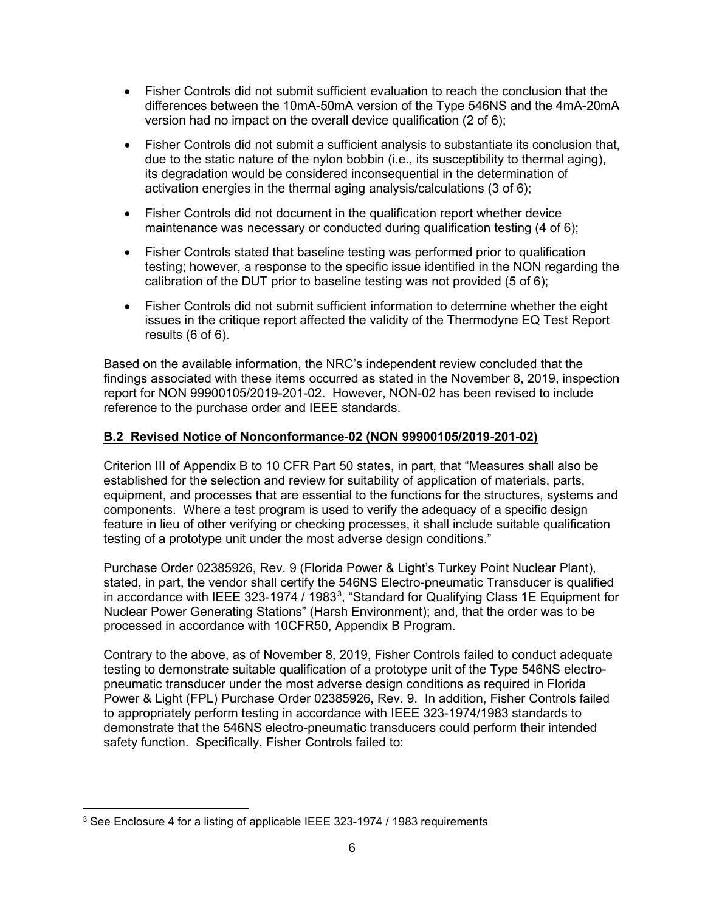- Fisher Controls did not submit sufficient evaluation to reach the conclusion that the differences between the 10mA-50mA version of the Type 546NS and the 4mA-20mA version had no impact on the overall device qualification (2 of 6);
- Fisher Controls did not submit a sufficient analysis to substantiate its conclusion that, due to the static nature of the nylon bobbin (i.e., its susceptibility to thermal aging), its degradation would be considered inconsequential in the determination of activation energies in the thermal aging analysis/calculations (3 of 6);
- Fisher Controls did not document in the qualification report whether device maintenance was necessary or conducted during qualification testing (4 of 6);
- Fisher Controls stated that baseline testing was performed prior to qualification testing; however, a response to the specific issue identified in the NON regarding the calibration of the DUT prior to baseline testing was not provided (5 of 6);
- Fisher Controls did not submit sufficient information to determine whether the eight issues in the critique report affected the validity of the Thermodyne EQ Test Report results (6 of 6).

Based on the available information, the NRC's independent review concluded that the findings associated with these items occurred as stated in the November 8, 2019, inspection report for NON 99900105/2019-201-02. However, NON-02 has been revised to include reference to the purchase order and IEEE standards.

#### **B.2 Revised Notice of Nonconformance-02 (NON 99900105/2019-201-02)**

Criterion III of Appendix B to 10 CFR Part 50 states, in part, that "Measures shall also be established for the selection and review for suitability of application of materials, parts, equipment, and processes that are essential to the functions for the structures, systems and components. Where a test program is used to verify the adequacy of a specific design feature in lieu of other verifying or checking processes, it shall include suitable qualification testing of a prototype unit under the most adverse design conditions."

Purchase Order 02385926, Rev. 9 (Florida Power & Light's Turkey Point Nuclear Plant), stated, in part, the vendor shall certify the 546NS Electro-pneumatic Transducer is qualified in accordance with IEEE [3](#page-9-0)23-1974 / 1983<sup>3</sup>, "Standard for Qualifying Class 1E Equipment for Nuclear Power Generating Stations" (Harsh Environment); and, that the order was to be processed in accordance with 10CFR50, Appendix B Program.

Contrary to the above, as of November 8, 2019, Fisher Controls failed to conduct adequate testing to demonstrate suitable qualification of a prototype unit of the Type 546NS electropneumatic transducer under the most adverse design conditions as required in Florida Power & Light (FPL) Purchase Order 02385926, Rev. 9. In addition, Fisher Controls failed to appropriately perform testing in accordance with IEEE 323-1974/1983 standards to demonstrate that the 546NS electro-pneumatic transducers could perform their intended safety function. Specifically, Fisher Controls failed to:

<span id="page-9-0"></span><sup>&</sup>lt;sup>3</sup> See Enclosure 4 for a listing of applicable IEEE 323-1974 / 1983 requirements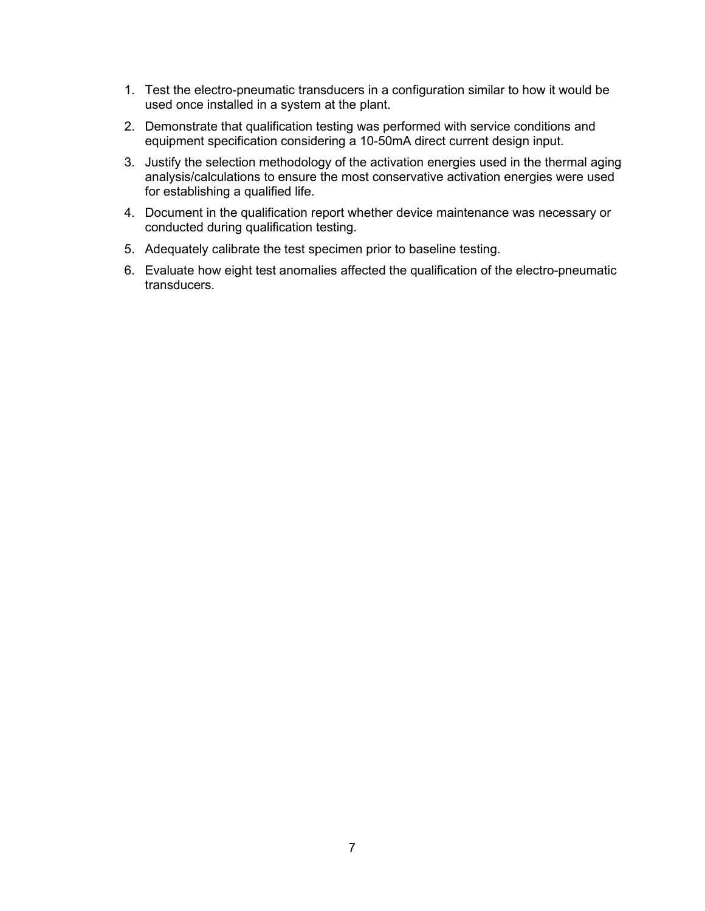- 1. Test the electro-pneumatic transducers in a configuration similar to how it would be used once installed in a system at the plant.
- 2. Demonstrate that qualification testing was performed with service conditions and equipment specification considering a 10-50mA direct current design input.
- 3. Justify the selection methodology of the activation energies used in the thermal aging analysis/calculations to ensure the most conservative activation energies were used for establishing a qualified life.
- 4. Document in the qualification report whether device maintenance was necessary or conducted during qualification testing.
- 5. Adequately calibrate the test specimen prior to baseline testing.
- 6. Evaluate how eight test anomalies affected the qualification of the electro-pneumatic transducers.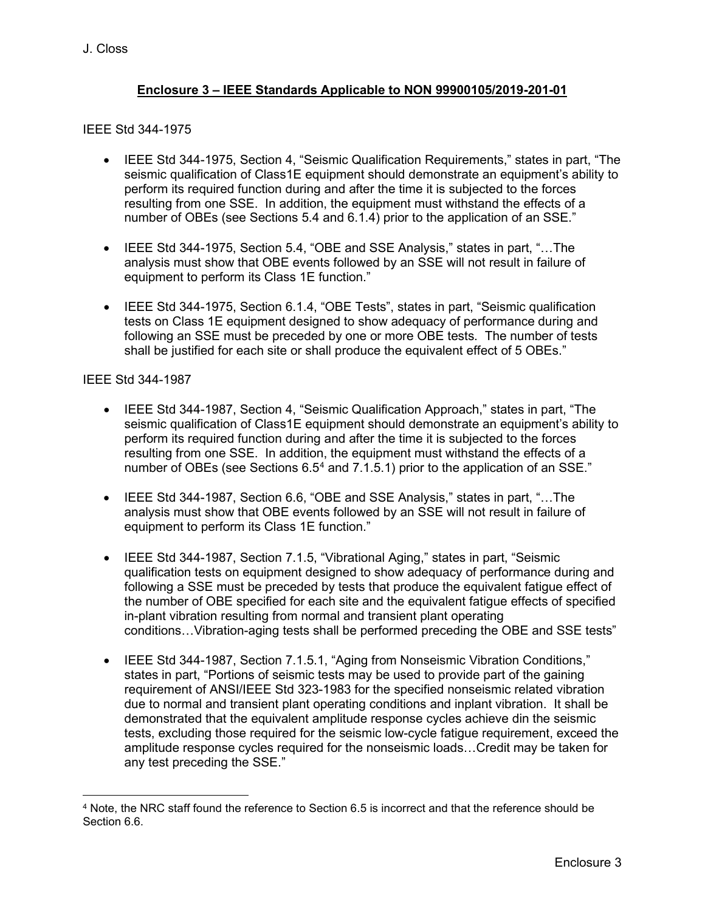#### **Enclosure 3 – IEEE Standards Applicable to NON 99900105/2019-201-01**

#### IEEE Std 344-1975

- IEEE Std 344-1975, Section 4, "Seismic Qualification Requirements," states in part, "The seismic qualification of Class1E equipment should demonstrate an equipment's ability to perform its required function during and after the time it is subjected to the forces resulting from one SSE. In addition, the equipment must withstand the effects of a number of OBEs (see Sections 5.4 and 6.1.4) prior to the application of an SSE."
- IEEE Std 344-1975, Section 5.4, "OBE and SSE Analysis," states in part, "…The analysis must show that OBE events followed by an SSE will not result in failure of equipment to perform its Class 1E function."
- IEEE Std 344-1975, Section 6.1.4, "OBE Tests", states in part, "Seismic qualification tests on Class 1E equipment designed to show adequacy of performance during and following an SSE must be preceded by one or more OBE tests. The number of tests shall be justified for each site or shall produce the equivalent effect of 5 OBEs."

#### IEEE Std 344-1987

- IEEE Std 344-1987, Section 4, "Seismic Qualification Approach," states in part, "The seismic qualification of Class1E equipment should demonstrate an equipment's ability to perform its required function during and after the time it is subjected to the forces resulting from one SSE. In addition, the equipment must withstand the effects of a number of OBEs (see Sections  $6.5<sup>4</sup>$  $6.5<sup>4</sup>$  $6.5<sup>4</sup>$  and  $7.1.5.1$ ) prior to the application of an SSE."
- IEEE Std 344-1987, Section 6.6, "OBE and SSE Analysis," states in part, "…The analysis must show that OBE events followed by an SSE will not result in failure of equipment to perform its Class 1E function."
- IEEE Std 344-1987, Section 7.1.5, "Vibrational Aging," states in part, "Seismic qualification tests on equipment designed to show adequacy of performance during and following a SSE must be preceded by tests that produce the equivalent fatigue effect of the number of OBE specified for each site and the equivalent fatigue effects of specified in-plant vibration resulting from normal and transient plant operating conditions…Vibration-aging tests shall be performed preceding the OBE and SSE tests"
- IEEE Std 344-1987, Section 7.1.5.1, "Aging from Nonseismic Vibration Conditions," states in part, "Portions of seismic tests may be used to provide part of the gaining requirement of ANSI/IEEE Std 323-1983 for the specified nonseismic related vibration due to normal and transient plant operating conditions and inplant vibration. It shall be demonstrated that the equivalent amplitude response cycles achieve din the seismic tests, excluding those required for the seismic low-cycle fatigue requirement, exceed the amplitude response cycles required for the nonseismic loads…Credit may be taken for any test preceding the SSE."

<span id="page-11-0"></span><sup>4</sup> Note, the NRC staff found the reference to Section 6.5 is incorrect and that the reference should be Section 6.6.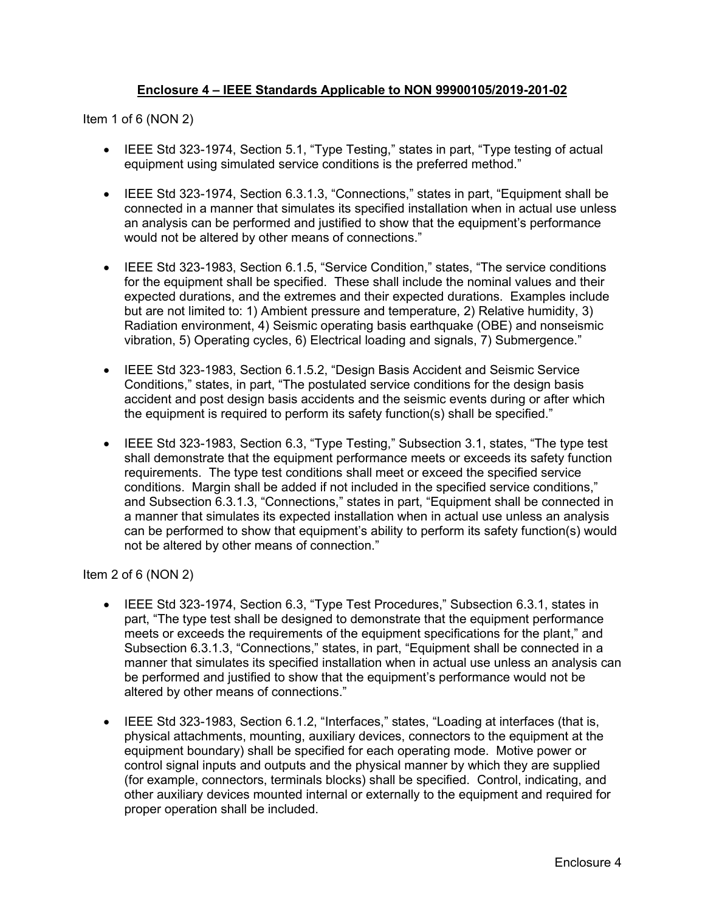#### **Enclosure 4 – IEEE Standards Applicable to NON 99900105/2019-201-02**

Item 1 of 6 (NON 2)

- IEEE Std 323-1974, Section 5.1, "Type Testing," states in part, "Type testing of actual equipment using simulated service conditions is the preferred method."
- IEEE Std 323-1974, Section 6.3.1.3, "Connections," states in part, "Equipment shall be connected in a manner that simulates its specified installation when in actual use unless an analysis can be performed and justified to show that the equipment's performance would not be altered by other means of connections."
- IEEE Std 323-1983, Section 6.1.5, "Service Condition," states, "The service conditions for the equipment shall be specified. These shall include the nominal values and their expected durations, and the extremes and their expected durations. Examples include but are not limited to: 1) Ambient pressure and temperature, 2) Relative humidity, 3) Radiation environment, 4) Seismic operating basis earthquake (OBE) and nonseismic vibration, 5) Operating cycles, 6) Electrical loading and signals, 7) Submergence."
- IEEE Std 323-1983, Section 6.1.5.2, "Design Basis Accident and Seismic Service Conditions," states, in part, "The postulated service conditions for the design basis accident and post design basis accidents and the seismic events during or after which the equipment is required to perform its safety function(s) shall be specified."
- IEEE Std 323-1983, Section 6.3, "Type Testing," Subsection 3.1, states, "The type test shall demonstrate that the equipment performance meets or exceeds its safety function requirements. The type test conditions shall meet or exceed the specified service conditions. Margin shall be added if not included in the specified service conditions," and Subsection 6.3.1.3, "Connections," states in part, "Equipment shall be connected in a manner that simulates its expected installation when in actual use unless an analysis can be performed to show that equipment's ability to perform its safety function(s) would not be altered by other means of connection."

Item 2 of 6 (NON 2)

- IEEE Std 323-1974, Section 6.3, "Type Test Procedures," Subsection 6.3.1, states in part, "The type test shall be designed to demonstrate that the equipment performance meets or exceeds the requirements of the equipment specifications for the plant," and Subsection 6.3.1.3, "Connections," states, in part, "Equipment shall be connected in a manner that simulates its specified installation when in actual use unless an analysis can be performed and justified to show that the equipment's performance would not be altered by other means of connections."
- IEEE Std 323-1983, Section 6.1.2, "Interfaces," states, "Loading at interfaces (that is, physical attachments, mounting, auxiliary devices, connectors to the equipment at the equipment boundary) shall be specified for each operating mode. Motive power or control signal inputs and outputs and the physical manner by which they are supplied (for example, connectors, terminals blocks) shall be specified. Control, indicating, and other auxiliary devices mounted internal or externally to the equipment and required for proper operation shall be included.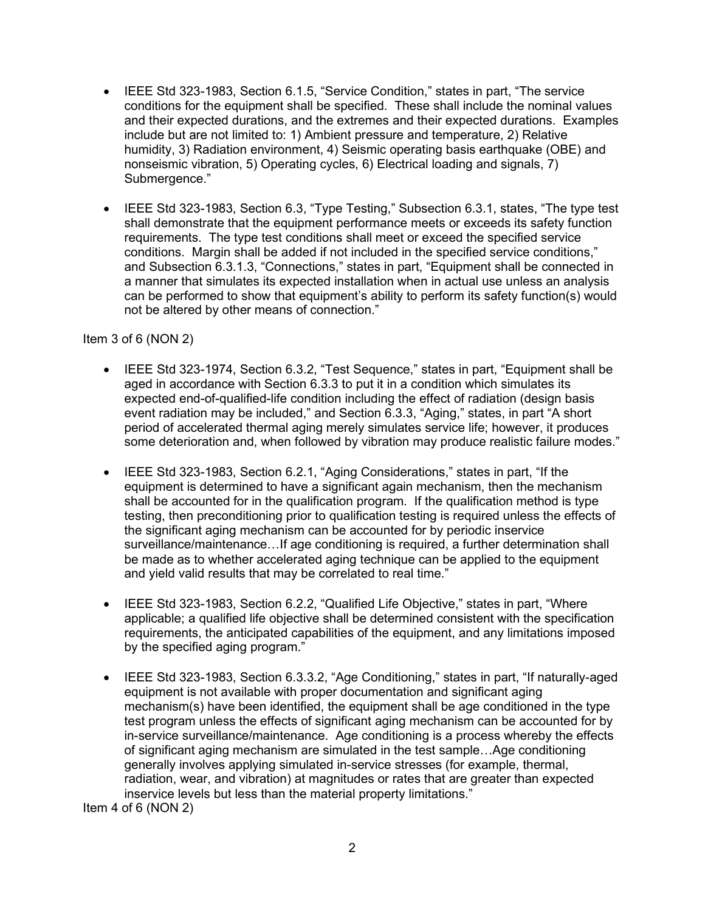- IEEE Std 323-1983, Section 6.1.5, "Service Condition," states in part, "The service conditions for the equipment shall be specified. These shall include the nominal values and their expected durations, and the extremes and their expected durations. Examples include but are not limited to: 1) Ambient pressure and temperature, 2) Relative humidity, 3) Radiation environment, 4) Seismic operating basis earthquake (OBE) and nonseismic vibration, 5) Operating cycles, 6) Electrical loading and signals, 7) Submergence."
- IEEE Std 323-1983, Section 6.3, "Type Testing," Subsection 6.3.1, states, "The type test shall demonstrate that the equipment performance meets or exceeds its safety function requirements. The type test conditions shall meet or exceed the specified service conditions. Margin shall be added if not included in the specified service conditions," and Subsection 6.3.1.3, "Connections," states in part, "Equipment shall be connected in a manner that simulates its expected installation when in actual use unless an analysis can be performed to show that equipment's ability to perform its safety function(s) would not be altered by other means of connection."

#### Item 3 of 6 (NON 2)

- IEEE Std 323-1974, Section 6.3.2, "Test Sequence," states in part, "Equipment shall be aged in accordance with Section 6.3.3 to put it in a condition which simulates its expected end-of-qualified-life condition including the effect of radiation (design basis event radiation may be included," and Section 6.3.3, "Aging," states, in part "A short period of accelerated thermal aging merely simulates service life; however, it produces some deterioration and, when followed by vibration may produce realistic failure modes."
- IEEE Std 323-1983, Section 6.2.1, "Aging Considerations," states in part, "If the equipment is determined to have a significant again mechanism, then the mechanism shall be accounted for in the qualification program. If the qualification method is type testing, then preconditioning prior to qualification testing is required unless the effects of the significant aging mechanism can be accounted for by periodic inservice surveillance/maintenance…If age conditioning is required, a further determination shall be made as to whether accelerated aging technique can be applied to the equipment and yield valid results that may be correlated to real time."
- IEEE Std 323-1983, Section 6.2.2, "Qualified Life Objective," states in part, "Where applicable; a qualified life objective shall be determined consistent with the specification requirements, the anticipated capabilities of the equipment, and any limitations imposed by the specified aging program."
- IEEE Std 323-1983, Section 6.3.3.2, "Age Conditioning," states in part, "If naturally-aged equipment is not available with proper documentation and significant aging mechanism(s) have been identified, the equipment shall be age conditioned in the type test program unless the effects of significant aging mechanism can be accounted for by in-service surveillance/maintenance. Age conditioning is a process whereby the effects of significant aging mechanism are simulated in the test sample…Age conditioning generally involves applying simulated in-service stresses (for example, thermal, radiation, wear, and vibration) at magnitudes or rates that are greater than expected inservice levels but less than the material property limitations."

Item 4 of 6 (NON 2)